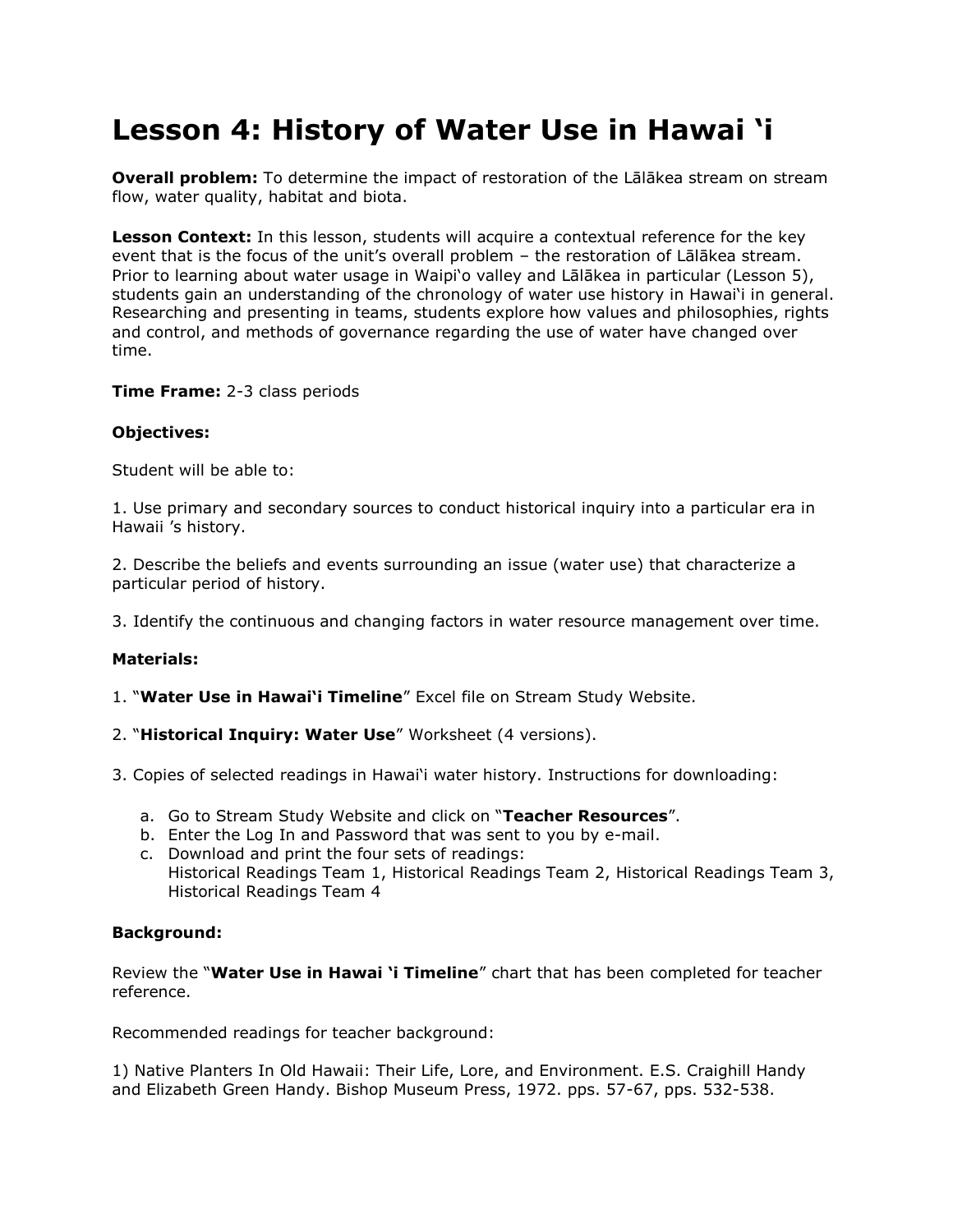# **Lesson 4: History of Water Use in Hawai 'i**

**Overall problem:** To determine the impact of restoration of the Lālākea stream on stream flow, water quality, habitat and biota.

**Lesson Context:** In this lesson, students will acquire a contextual reference for the key event that is the focus of the unit's overall problem - the restoration of Lālākea stream. Prior to learning about water usage in Waipi"o valley and Lālākea in particular (Lesson 5), students gain an understanding of the chronology of water use history in Hawai"i in general. Researching and presenting in teams, students explore how values and philosophies, rights and control, and methods of governance regarding the use of water have changed over time.

**Time Frame:** 2-3 class periods

## **Objectives:**

Student will be able to:

1. Use primary and secondary sources to conduct historical inquiry into a particular era in Hawaii 's history.

2. Describe the beliefs and events surrounding an issue (water use) that characterize a particular period of history.

3. Identify the continuous and changing factors in water resource management over time.

### **Materials:**

1. "**Water Use in Hawai'i Timeline**" Excel file on Stream Study Website.

- 2. "**Historical Inquiry: Water Use**" Worksheet (4 versions).
- 3. Copies of selected readings in Hawai'i water history. Instructions for downloading:
	- a. Go to Stream Study Website and click on "**Teacher Resources**".
	- b. Enter the Log In and Password that was sent to you by e-mail.
	- c. Download and print the four sets of readings: Historical Readings Team 1, Historical Readings Team 2, Historical Readings Team 3, Historical Readings Team 4

## **Background:**

Review the "**Water Use in Hawai 'i Timeline**" chart that has been completed for teacher reference.

Recommended readings for teacher background:

1) Native Planters In Old Hawaii: Their Life, Lore, and Environment. E.S. Craighill Handy and Elizabeth Green Handy. Bishop Museum Press, 1972. pps. 57-67, pps. 532-538.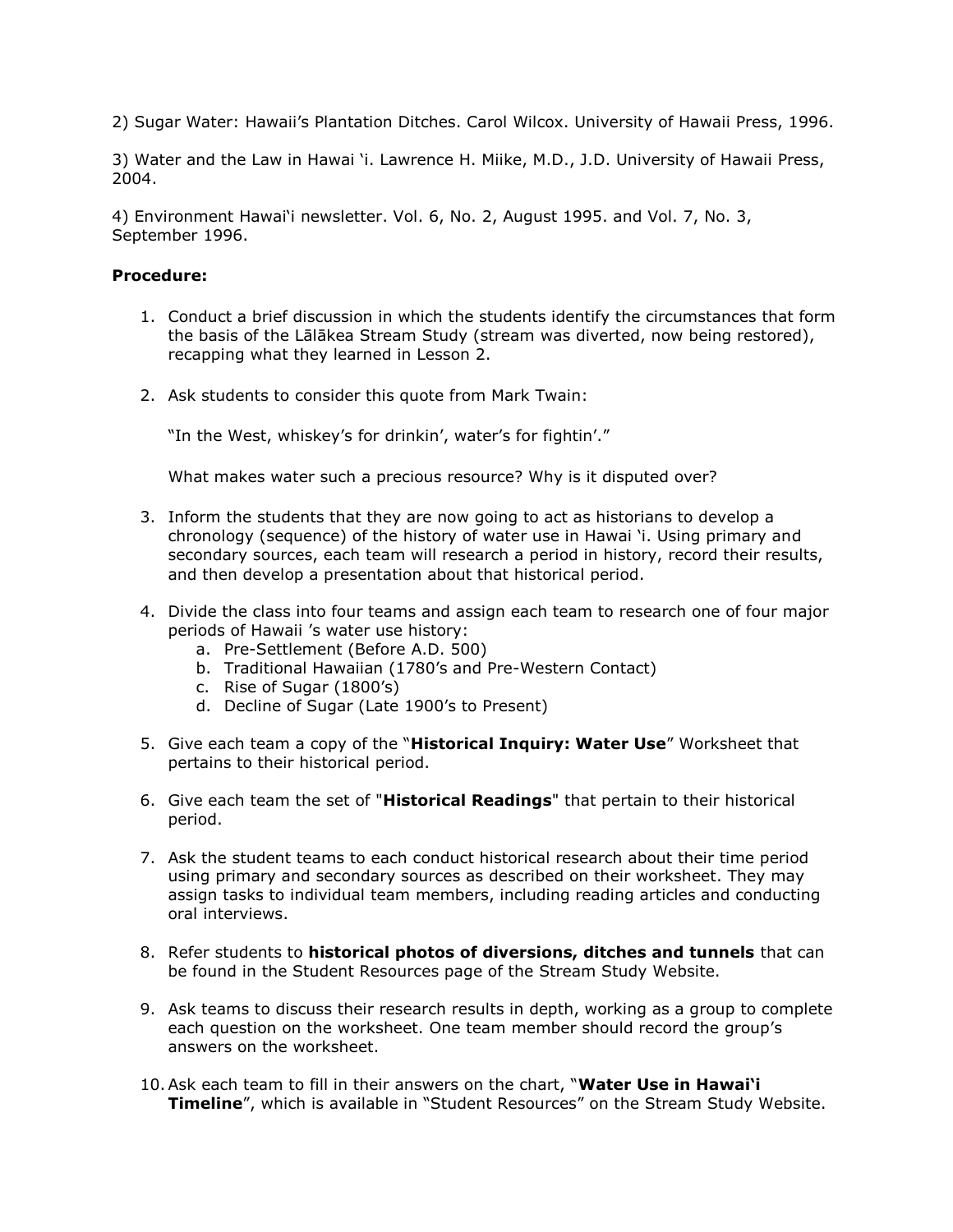2) Sugar Water: Hawaii"s Plantation Ditches. Carol Wilcox. University of Hawaii Press, 1996.

3) Water and the Law in Hawai "i. Lawrence H. Miike, M.D., J.D. University of Hawaii Press, 2004.

4) Environment Hawai"i newsletter. Vol. 6, No. 2, August 1995. and Vol. 7, No. 3, September 1996.

### **Procedure:**

- 1. Conduct a brief discussion in which the students identify the circumstances that form the basis of the Lālākea Stream Study (stream was diverted, now being restored), recapping what they learned in Lesson 2.
- 2. Ask students to consider this quote from Mark Twain:

"In the West, whiskey's for drinkin', water's for fightin'."

What makes water such a precious resource? Why is it disputed over?

- 3. Inform the students that they are now going to act as historians to develop a chronology (sequence) of the history of water use in Hawai "i. Using primary and secondary sources, each team will research a period in history, record their results, and then develop a presentation about that historical period.
- 4. Divide the class into four teams and assign each team to research one of four major periods of Hawaii 's water use history:
	- a. Pre-Settlement (Before A.D. 500)
	- b. Traditional Hawaiian (1780"s and Pre-Western Contact)
	- c. Rise of Sugar (1800"s)
	- d. Decline of Sugar (Late 1900"s to Present)
- 5. Give each team a copy of the "**Historical Inquiry: Water Use**" Worksheet that pertains to their historical period.
- 6. Give each team the set of "**Historical Readings**" that pertain to their historical period.
- 7. Ask the student teams to each conduct historical research about their time period using primary and secondary sources as described on their worksheet. They may assign tasks to individual team members, including reading articles and conducting oral interviews.
- 8. Refer students to **historical photos of diversions, ditches and tunnels** that can be found in the Student Resources page of the Stream Study Website.
- 9. Ask teams to discuss their research results in depth, working as a group to complete each question on the worksheet. One team member should record the group"s answers on the worksheet.
- 10.Ask each team to fill in their answers on the chart, "**Water Use in Hawai'i Timeline**", which is available in "Student Resources" on the Stream Study Website.